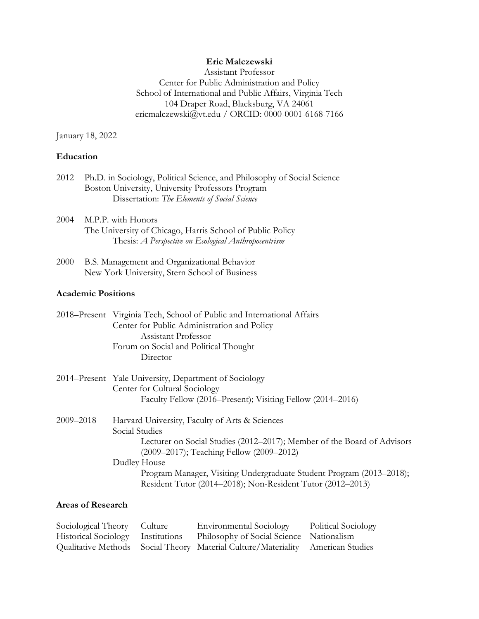### **Eric Malczewski**

Assistant Professor Center for Public Administration and Policy School of International and Public Affairs, Virginia Tech 104 Draper Road, Blacksburg, VA 24061 ericmalczewski@vt.edu / ORCID: 0000-0001-6168-7166

January 18, 2022

# **Education**

| 2012 Ph.D. in Sociology, Political Science, and Philosophy of Social Science |
|------------------------------------------------------------------------------|
| Boston University, University Professors Program                             |
| Dissertation: The Elements of Social Science                                 |

- 2004 M.P.P. with Honors The University of Chicago, Harris School of Public Policy Thesis: *A Perspective on Ecological Anthropocentrism*
- 2000 B.S. Management and Organizational Behavior New York University, Stern School of Business

#### **Academic Positions**

| 2018–Present Virginia Tech, School of Public and International Affairs |
|------------------------------------------------------------------------|
| Center for Public Administration and Policy                            |
| <b>Assistant Professor</b>                                             |
| Forum on Social and Political Thought                                  |
| Director                                                               |
|                                                                        |

- 2014–Present Yale University, Department of Sociology Center for Cultural Sociology Faculty Fellow (2016–Present); Visiting Fellow (2014–2016)
- 2009–2018 Harvard University, Faculty of Arts & Sciences Social Studies Lecturer on Social Studies (2012–2017); Member of the Board of Advisors (2009–2017); Teaching Fellow (2009–2012) Dudley House Program Manager, Visiting Undergraduate Student Program (2013–2018); Resident Tutor (2014–2018); Non-Resident Tutor (2012–2013)

### **Areas of Research**

| Sociological Theory Culture       | <b>Environmental Sociology</b>                                                  | Political Sociology |
|-----------------------------------|---------------------------------------------------------------------------------|---------------------|
| Historical Sociology Institutions | Philosophy of Social Science Nationalism                                        |                     |
|                                   | Qualitative Methods Social Theory Material Culture/Materiality American Studies |                     |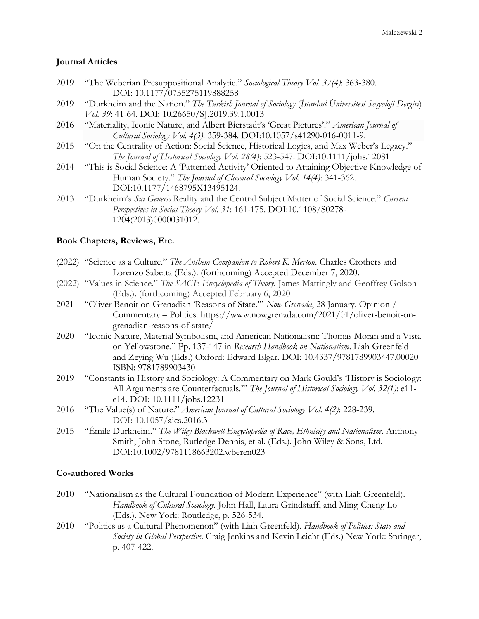# **Journal Articles**

- 2019 "The Weberian Presuppositional Analytic." *Sociological Theory Vol. 37(4)*: 363-380. DOI: 10.1177/0735275119888258
- 2019 "Durkheim and the Nation." *The Turkish Journal of Sociology* (*İstanbul Üniversitesi Sosyoloji Dergisi*) *Vol. 39*: 41-64. DOI: 10.26650/SJ.2019.39.1.0013
- 2016 "Materiality, Iconic Nature, and Albert Bierstadt's 'Great Pictures'." *American Journal of Cultural Sociology Vol. 4(3)*: 359-384. DOI:10.1057/s41290-016-0011-9.
- 2015 "On the Centrality of Action: Social Science, Historical Logics, and Max Weber's Legacy." *The Journal of Historical Sociology Vol. 28(4)*: 523-547. DOI:10.1111/johs.12081
- 2014 "This is Social Science: A 'Patterned Activity' Oriented to Attaining Objective Knowledge of Human Society." *The Journal of Classical Sociology Vol. 14(4)*: 341-362. DOI:10.1177/1468795X13495124.
- 2013 "Durkheim's *Sui Generis* Reality and the Central Subject Matter of Social Science." *Current Perspectives in Social Theory Vol. 31*: 161-175. DOI:10.1108/S0278- 1204(2013)0000031012.

### **Book Chapters, Reviews, Etc.**

- (2022) "Science as a Culture." *The Anthem Companion to Robert K. Merton.* Charles Crothers and Lorenzo Sabetta (Eds.). (forthcoming) Accepted December 7, 2020.
- (2022) "Values in Science." *The SAGE Encyclopedia of Theory.* James Mattingly and Geoffrey Golson (Eds.). (forthcoming) Accepted February 6, 2020
- 2021 "Oliver Benoit on Grenadian 'Reasons of State.'" *Now Grenada*, 28 January. Opinion / Commentary – Politics. https://www.nowgrenada.com/2021/01/oliver-benoit-ongrenadian-reasons-of-state/
- 2020 "Iconic Nature, Material Symbolism, and American Nationalism: Thomas Moran and a Vista on Yellowstone." Pp. 137-147 in *Research Handbook on Nationalism*. Liah Greenfeld and Zeying Wu (Eds.) Oxford: Edward Elgar. DOI: 10.4337/9781789903447.00020 ISBN: 9781789903430
- 2019 "Constants in History and Sociology: A Commentary on Mark Gould's 'History is Sociology: All Arguments are Counterfactuals.'" *The Journal of Historical Sociology Vol. 32(1)*: e11 e14. DOI: 10.1111/johs.12231
- 2016 "The Value(s) of Nature." *American Journal of Cultural Sociology Vol. 4(2)*: 228-239. DOI: 10.1057/ajcs.2016.3
- 2015 "Émile Durkheim." *The Wiley Blackwell Encyclopedia of Race, Ethnicity and Nationalism*. Anthony Smith, John Stone, Rutledge Dennis, et al. (Eds.). John Wiley & Sons, Ltd. DOI:10.1002/9781118663202.wberen023

# **Co-authored Works**

- 2010 "Nationalism as the Cultural Foundation of Modern Experience" (with Liah Greenfeld). *Handbook of Cultural Sociology.* John Hall, Laura Grindstaff, and Ming-Cheng Lo (Eds.). New York: Routledge, p. 526-534.
- 2010 "Politics as a Cultural Phenomenon" (with Liah Greenfeld). *Handbook of Politics: State and Society in Global Perspective*. Craig Jenkins and Kevin Leicht (Eds.) New York: Springer, p. 407-422.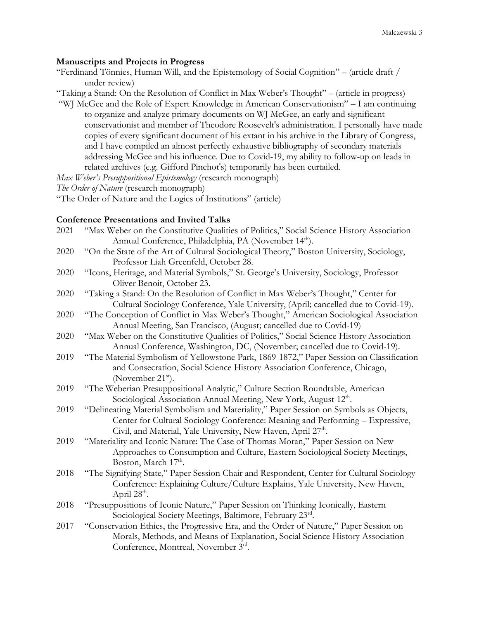### **Manuscripts and Projects in Progress**

| "Ferdinand Tönnies, Human Will, and the Epistemology of Social Cognition" – (article draft / |  |  |  |  |
|----------------------------------------------------------------------------------------------|--|--|--|--|
| under review)                                                                                |  |  |  |  |

"Taking a Stand: On the Resolution of Conflict in Max Weber's Thought" – (article in progress)

"WJ McGee and the Role of Expert Knowledge in American Conservationism" – I am continuing to organize and analyze primary documents on WJ McGee, an early and significant conservationist and member of Theodore Roosevelt's administration. I personally have made copies of every significant document of his extant in his archive in the Library of Congress, and I have compiled an almost perfectly exhaustive bibliography of secondary materials addressing McGee and his influence. Due to Covid-19, my ability to follow-up on leads in related archives (e.g. Gifford Pinchot's) temporarily has been curtailed.

*Max Weber's Presuppositional Epistemology* (research monograph)

*The Order of Nature* (research monograph)

"The Order of Nature and the Logics of Institutions" (article)

# **Conference Presentations and Invited Talks**

| 2021 | "Max Weber on the Constitutive Qualities of Politics," Social Science History Association |
|------|-------------------------------------------------------------------------------------------|
|      | Annual Conference, Philadelphia, PA (November 14 <sup>th</sup> ).                         |
| 2020 | "On the State of the Art of Cultural Sociological Theory," Boston University, Sociology,  |
|      | Professor Liah Greenfeld, October 28.                                                     |
| 2020 | "Icons, Heritage, and Material Symbols," St. George's University, Sociology, Professor    |
|      | Oliver Benoit, October 23.                                                                |
| 2020 | "Taking a Stand: On the Resolution of Conflict in Max Weber's Thought," Center for        |
|      | Cultural Sociology Conference, Yale University, (April; cancelled due to Covid-19).       |
| 2020 | "The Conception of Conflict in Max Weber's Thought," American Sociological Association    |
|      | Annual Meeting, San Francisco, (August; cancelled due to Covid-19)                        |
| 2020 | "Max Weber on the Constitutive Qualities of Politics," Social Science History Association |
|      | Annual Conference, Washington, DC, (November; cancelled due to Covid-19).                 |
| 2019 | "The Material Symbolism of Yellowstone Park, 1869-1872," Paper Session on Classification  |
|      | and Consecration, Social Science History Association Conference, Chicago,                 |
|      | (November 21 <sup>st</sup> ).                                                             |
| 2019 | "The Weberian Presuppositional Analytic," Culture Section Roundtable, American            |
|      | Sociological Association Annual Meeting, New York, August 12 <sup>th</sup> .              |
| 2019 | "Delineating Material Symbolism and Materiality," Paper Session on Symbols as Objects,    |
|      | Center for Cultural Sociology Conference: Meaning and Performing - Expressive,            |
|      | Civil, and Material, Yale University, New Haven, April 27 <sup>th</sup> .                 |
| 2019 | "Materiality and Iconic Nature: The Case of Thomas Moran," Paper Session on New           |
|      | Approaches to Consumption and Culture, Eastern Sociological Society Meetings,             |
|      | Boston, March 17 <sup>th</sup> .                                                          |
| 2018 | "The Signifying State," Paper Session Chair and Respondent, Center for Cultural Sociology |
|      | Conference: Explaining Culture/Culture Explains, Yale University, New Haven,              |
|      | April 28 <sup>th</sup> .                                                                  |
| 2018 | "Presuppositions of Iconic Nature," Paper Session on Thinking Iconically, Eastern         |
|      | Sociological Society Meetings, Baltimore, February 23rd.                                  |
| 2017 | "Conservation Ethics, the Progressive Era, and the Order of Nature," Paper Session on     |
|      | Morals, Methods, and Means of Explanation, Social Science History Association             |
|      | Conference, Montreal, November 3rd.                                                       |
|      |                                                                                           |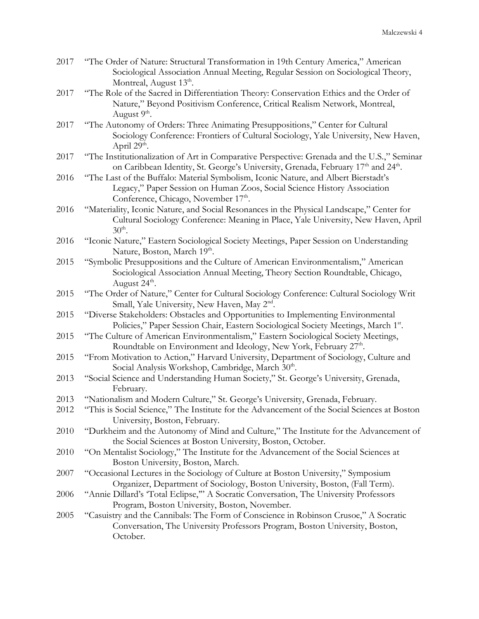| 2017 | "The Order of Nature: Structural Transformation in 19th Century America," American<br>Sociological Association Annual Meeting, Regular Session on Sociological Theory,<br>Montreal, August 13 <sup>th</sup> .       |
|------|---------------------------------------------------------------------------------------------------------------------------------------------------------------------------------------------------------------------|
| 2017 | "The Role of the Sacred in Differentiation Theory: Conservation Ethics and the Order of<br>Nature," Beyond Positivism Conference, Critical Realism Network, Montreal,<br>August 9 <sup>th</sup> .                   |
| 2017 | "The Autonomy of Orders: Three Animating Presuppositions," Center for Cultural<br>Sociology Conference: Frontiers of Cultural Sociology, Yale University, New Haven,<br>April 29 <sup>th</sup> .                    |
| 2017 | "The Institutionalization of Art in Comparative Perspective: Grenada and the U.S.," Seminar<br>on Caribbean Identity, St. George's University, Grenada, February 17 <sup>th</sup> and 24 <sup>th</sup> .            |
| 2016 | "The Last of the Buffalo: Material Symbolism, Iconic Nature, and Albert Bierstadt's<br>Legacy," Paper Session on Human Zoos, Social Science History Association<br>Conference, Chicago, November 17 <sup>th</sup> . |
| 2016 | "Materiality, Iconic Nature, and Social Resonances in the Physical Landscape," Center for<br>Cultural Sociology Conference: Meaning in Place, Yale University, New Haven, April<br>$30th$ .                         |
| 2016 | "Iconic Nature," Eastern Sociological Society Meetings, Paper Session on Understanding<br>Nature, Boston, March 19th.                                                                                               |
| 2015 | "Symbolic Presuppositions and the Culture of American Environmentalism," American<br>Sociological Association Annual Meeting, Theory Section Roundtable, Chicago,<br>August 24 <sup>th</sup> .                      |
| 2015 | "The Order of Nature," Center for Cultural Sociology Conference: Cultural Sociology Writ<br>Small, Yale University, New Haven, May 2 <sup>nd</sup> .                                                                |
| 2015 | "Diverse Stakeholders: Obstacles and Opportunities to Implementing Environmental<br>Policies," Paper Session Chair, Eastern Sociological Society Meetings, March 1st.                                               |
| 2015 | "The Culture of American Environmentalism," Eastern Sociological Society Meetings,<br>Roundtable on Environment and Ideology, New York, February 27 <sup>th</sup> .                                                 |
| 2015 | "From Motivation to Action," Harvard University, Department of Sociology, Culture and<br>Social Analysis Workshop, Cambridge, March 30 <sup>th</sup> .                                                              |
| 2013 | "Social Science and Understanding Human Society," St. George's University, Grenada,<br>February.                                                                                                                    |
| 2013 | "Nationalism and Modern Culture," St. George's University, Grenada, February.                                                                                                                                       |
| 2012 | "This is Social Science," The Institute for the Advancement of the Social Sciences at Boston<br>University, Boston, February.                                                                                       |
| 2010 | "Durkheim and the Autonomy of Mind and Culture," The Institute for the Advancement of<br>the Social Sciences at Boston University, Boston, October.                                                                 |
| 2010 | "On Mentalist Sociology," The Institute for the Advancement of the Social Sciences at<br>Boston University, Boston, March.                                                                                          |
| 2007 | "Occasional Lectures in the Sociology of Culture at Boston University," Symposium<br>Organizer, Department of Sociology, Boston University, Boston, (Fall Term).                                                    |
| 2006 | "Annie Dillard's 'Total Eclipse," A Socratic Conversation, The University Professors<br>Program, Boston University, Boston, November.                                                                               |
| 2005 | "Casuistry and the Cannibals: The Form of Conscience in Robinson Crusoe," A Socratic<br>Conversation, The University Professors Program, Boston University, Boston,<br>October.                                     |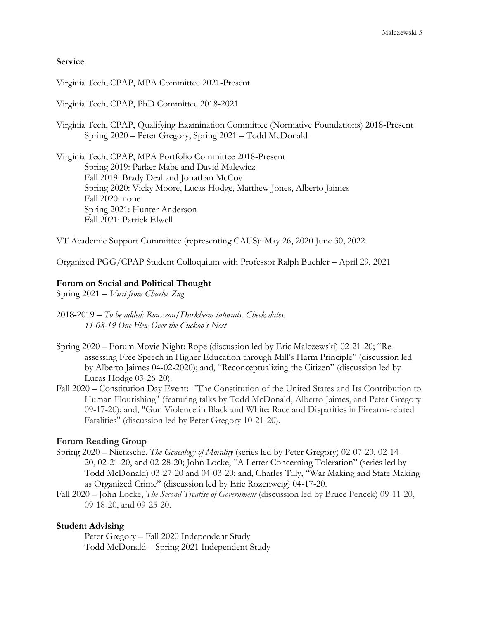# **Service**

Virginia Tech, CPAP, MPA Committee 2021-Present

Virginia Tech, CPAP, PhD Committee 2018-2021

Virginia Tech, CPAP, Qualifying Examination Committee (Normative Foundations) 2018-Present Spring 2020 – Peter Gregory; Spring 2021 – Todd McDonald

Virginia Tech, CPAP, MPA Portfolio Committee 2018-Present Spring 2019: Parker Mabe and David Malewicz Fall 2019: Brady Deal and Jonathan McCoy Spring 2020: Vicky Moore, Lucas Hodge, Matthew Jones, Alberto Jaimes Fall 2020: none Spring 2021: Hunter Anderson Fall 2021: Patrick Elwell

VT Academic Support Committee (representing CAUS): May 26, 2020 June 30, 2022

Organized PGG/CPAP Student Colloquium with Professor Ralph Buehler – April 29, 2021

#### **Forum on Social and Political Thought**

Spring 2021 – *Visit from Charles Zug*

- 2018-2019 *To be added: Rousseau/Durkheim tutorials. Check dates. 11-08-19 One Flew Over the Cuckoo's Nest*
- Spring 2020 Forum Movie Night: Rope (discussion led by Eric Malczewski) 02-21-20; "Reassessing Free Speech in Higher Education through Mill's Harm Principle" (discussion led by Alberto Jaimes 04-02-2020); and, "Reconceptualizing the Citizen" (discussion led by Lucas Hodge 03-26-20).
- Fall 2020 Constitution Day Event: "The Constitution of the United States and Its Contribution to Human Flourishing" (featuring talks by Todd McDonald, Alberto Jaimes, and Peter Gregory 09-17-20); and, "Gun Violence in Black and White: Race and Disparities in Firearm-related Fatalities" (discussion led by Peter Gregory 10-21-20).

# **Forum Reading Group**

- Spring 2020 Nietzsche, *The Genealogy of Morality* (series led by Peter Gregory) 02-07-20, 02-14- 20, 02-21-20, and 02-28-20; John Locke, "A Letter Concerning Toleration" (series led by Todd McDonald) 03-27-20 and 04-03-20; and, Charles Tilly, "War Making and State Making as Organized Crime" (discussion led by Eric Rozenweig) 04-17-20.
- Fall 2020 John Locke, *The Second Treatise of Government* (discussion led by Bruce Pencek) 09-11-20, 09-18-20, and 09-25-20.

#### **Student Advising**

Peter Gregory – Fall 2020 Independent Study Todd McDonald – Spring 2021 Independent Study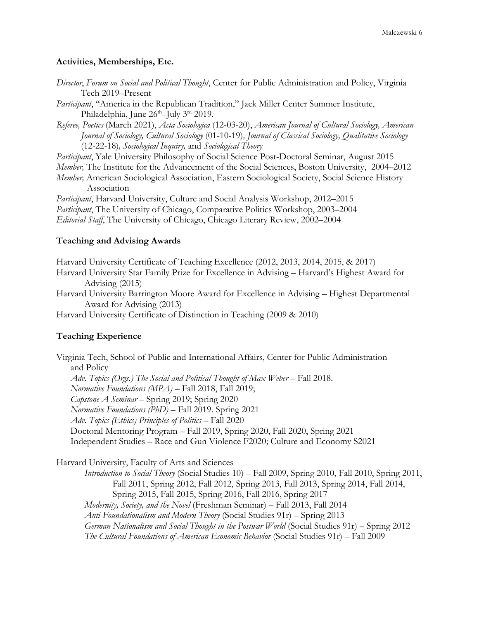# **Activities, Memberships, Etc.**

| Director, Forum on Social and Political Thought, Center for Public Administration and Policy, Virginia |  |  |
|--------------------------------------------------------------------------------------------------------|--|--|
| Tech 2019–Present                                                                                      |  |  |

*Participant*, "America in the Republican Tradition," Jack Miller Center Summer Institute, Philadelphia, June 26<sup>th</sup>–July 3<sup>rd</sup> 2019.

*Referee, Poetics* (March 2021), *Acta Sociologica* (12-03-20), *American Journal of Cultural Sociology, American Journal of Sociology, Cultural Sociology* (01-10-19)*, Journal of Classical Sociology, Qualitative Sociology* (12-22-18)*, Sociological Inquiry,* and *Sociological Theory*

*Participant*, Yale University Philosophy of Social Science Post-Doctoral Seminar, August 2015 *Member,* The Institute for the Advancement of the Social Sciences, Boston University, 2004–2012

*Member,* American Sociological Association, Eastern Sociological Society, Social Science History Association

*Participant*, Harvard University, Culture and Social Analysis Workshop, 2012–2015 *Participant*, The University of Chicago, Comparative Politics Workshop, 2003–2004 *Editorial Staff*, The University of Chicago, Chicago Literary Review, 2002–2004

#### **Teaching and Advising Awards**

Harvard University Certificate of Teaching Excellence (2012, 2013, 2014, 2015, & 2017) Harvard University Star Family Prize for Excellence in Advising – Harvard's Highest Award for Advising (2015)

Harvard University Barrington Moore Award for Excellence in Advising – Highest Departmental Award for Advising (2013)

Harvard University Certificate of Distinction in Teaching (2009 & 2010)

# **Teaching Experience**

Virginia Tech, School of Public and International Affairs, Center for Public Administration and Policy Adv. Topics (Orgs.) The Social and Political Thought of Max Weber – Fall 2018. *Normative Foundations (MPA)* – Fall 2018, Fall 2019; *Capstone A Seminar* – Spring 2019; Spring 2020 *Normative Foundations (PhD)* – Fall 2019. Spring 2021 *Adv. Topics (Ethics) Principles of Politics* – Fall 2020 Doctoral Mentoring Program – Fall 2019, Spring 2020, Fall 2020, Spring 2021 Independent Studies – Race and Gun Violence F2020; Culture and Economy S2021

Harvard University, Faculty of Arts and Sciences

*Introduction to Social Theory* (Social Studies 10) – Fall 2009, Spring 2010, Fall 2010, Spring 2011, Fall 2011, Spring 2012, Fall 2012, Spring 2013, Fall 2013, Spring 2014, Fall 2014, Spring 2015, Fall 2015, Spring 2016, Fall 2016, Spring 2017 *Modernity, Society, and the Novel* (Freshman Seminar) – Fall 2013, Fall 2014 *Anti-Foundationalism and Modern Theory* (Social Studies 91r) – Spring 2013 *German Nationalism and Social Thought in the Postwar World* (Social Studies 91r) – Spring 2012 *The Cultural Foundations of American Economic Behavior* (Social Studies 91r) – Fall 2009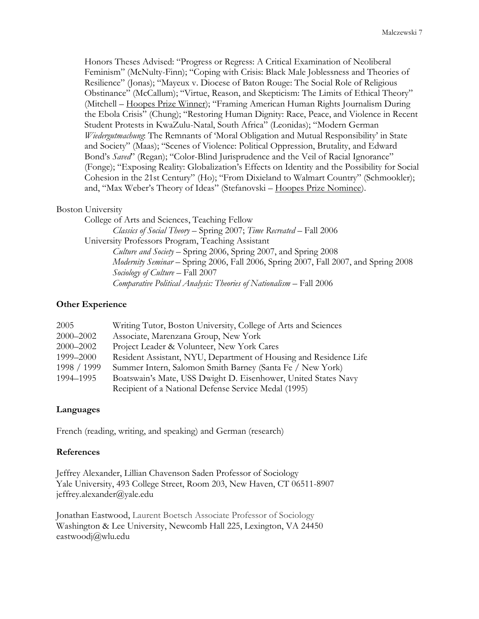Honors Theses Advised: "Progress or Regress: A Critical Examination of Neoliberal Feminism" (McNulty-Finn); "Coping with Crisis: Black Male Joblessness and Theories of Resilience" (Jonas); "Mayeux v. Diocese of Baton Rouge: The Social Role of Religious Obstinance" (McCallum); "Virtue, Reason, and Skepticism: The Limits of Ethical Theory" (Mitchell – Hoopes Prize Winner); "Framing American Human Rights Journalism During the Ebola Crisis" (Chung); "Restoring Human Dignity: Race, Peace, and Violence in Recent Student Protests in KwaZulu-Natal, South Africa" (Leonidas); "Modern German *Wiedergutmachung*: The Remnants of 'Moral Obligation and Mutual Responsibility' in State and Society" (Maas); "Scenes of Violence: Political Oppression, Brutality, and Edward Bond's *Saved*" (Regan); "Color-Blind Jurisprudence and the Veil of Racial Ignorance" (Fonge); "Exposing Reality: Globalization's Effects on Identity and the Possibility for Social Cohesion in the 21st Century" (Ho); "From Dixieland to Walmart Country" (Schmookler); and, "Max Weber's Theory of Ideas" (Stefanovski – Hoopes Prize Nominee).

### Boston University

College of Arts and Sciences, Teaching Fellow *Classics of Social Theory* – Spring 2007; *Time Recreated* – Fall 2006 University Professors Program, Teaching Assistant *Culture and Society* – Spring 2006, Spring 2007, and Spring 2008 *Modernity Seminar* – Spring 2006, Fall 2006, Spring 2007, Fall 2007, and Spring 2008 *Sociology of Culture* – Fall 2007 *Comparative Political Analysis: Theories of Nationalism* – Fall 2006

### **Other Experience**

| 2005          | Writing Tutor, Boston University, College of Arts and Sciences    |
|---------------|-------------------------------------------------------------------|
| $2000 - 2002$ | Associate, Marenzana Group, New York                              |
| $2000 - 2002$ | Project Leader & Volunteer, New York Cares                        |
| 1999-2000     | Resident Assistant, NYU, Department of Housing and Residence Life |
| 1998 / 1999   | Summer Intern, Salomon Smith Barney (Santa Fe / New York)         |
| 1994–1995     | Boatswain's Mate, USS Dwight D. Eisenhower, United States Navy    |
|               | Recipient of a National Defense Service Medal (1995)              |

# **Languages**

French (reading, writing, and speaking) and German (research)

# **References**

Jeffrey Alexander, Lillian Chavenson Saden Professor of Sociology Yale University, 493 College Street, Room 203, New Haven, CT 06511-8907 jeffrey.alexander@yale.edu

Jonathan Eastwood, Laurent Boetsch Associate Professor of Sociology Washington & Lee University, Newcomb Hall 225, Lexington, VA 24450 eastwoodj@wlu.edu